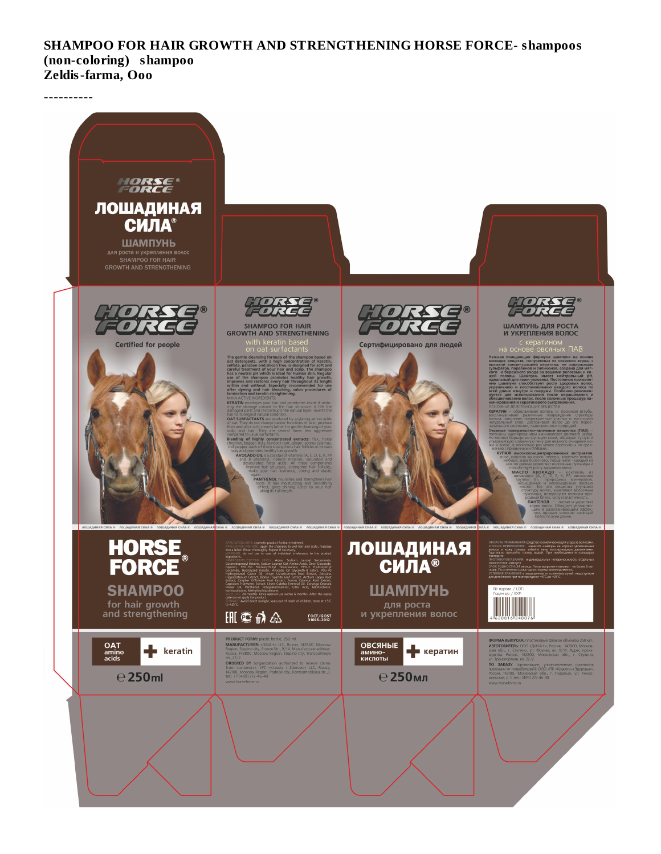SHAMPOO FOR HAIR GROWTH AND STRENGTHENING HORSE FORCE- shampoos (non-coloring) shampoo Zeldis-farma, Ooo

----------

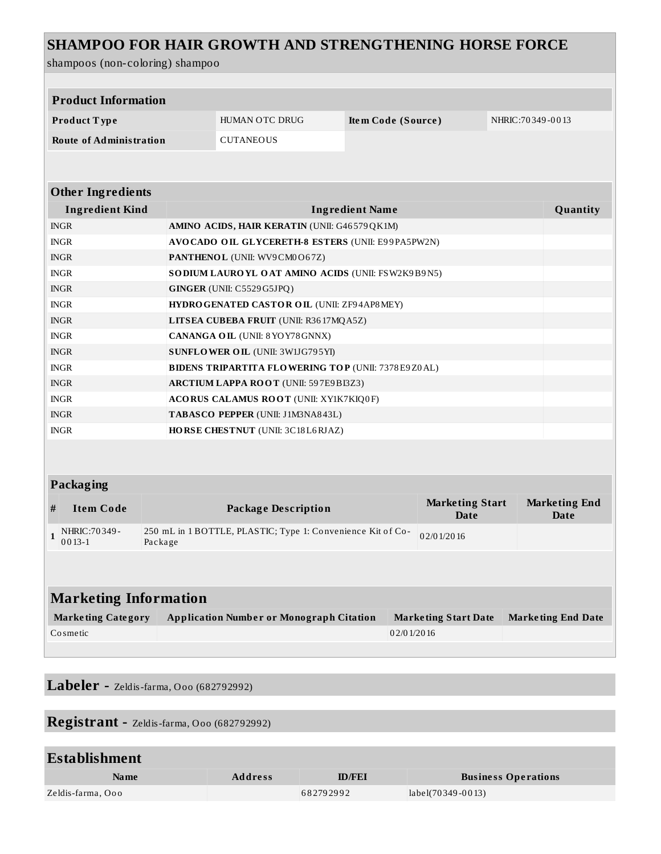## **SHAMPOO FOR HAIR GROWTH AND STRENGTHENING HORSE FORCE**

shampoos (non-coloring) shampoo

| <b>Product Information</b>   |                                |         |                                                                                |                    |                                       |                           |                              |  |  |
|------------------------------|--------------------------------|---------|--------------------------------------------------------------------------------|--------------------|---------------------------------------|---------------------------|------------------------------|--|--|
| Product Type                 |                                |         | HUMAN OTC DRUG                                                                 | Item Code (Source) |                                       | NHRIC: 70 349 - 00 13     |                              |  |  |
|                              | <b>Route of Administration</b> |         | <b>CUTANEOUS</b>                                                               |                    |                                       |                           |                              |  |  |
|                              |                                |         |                                                                                |                    |                                       |                           |                              |  |  |
|                              |                                |         |                                                                                |                    |                                       |                           |                              |  |  |
| <b>Other Ingredients</b>     |                                |         |                                                                                |                    |                                       |                           |                              |  |  |
| <b>Ingredient Kind</b>       |                                |         | <b>Ingredient Name</b>                                                         |                    |                                       |                           |                              |  |  |
| <b>INGR</b>                  |                                |         | AMINO ACIDS, HAIR KERATIN (UNII: G46579QK1M)                                   |                    |                                       |                           |                              |  |  |
| <b>INGR</b>                  |                                |         | AVOCADO OIL GLYCERETH-8 ESTERS (UNII: E99PA5PW2N)                              |                    |                                       |                           |                              |  |  |
| <b>INGR</b>                  |                                |         | <b>PANTHENOL</b> (UNII: WV9CM0O67Z)                                            |                    |                                       |                           |                              |  |  |
|                              | <b>INGR</b>                    |         | SODIUM LAURO YL OAT AMINO ACIDS (UNII: FSW2K9B9N5)                             |                    |                                       |                           |                              |  |  |
|                              | <b>INGR</b>                    |         | GINGER (UNII: C5529 G5JPQ)                                                     |                    |                                       |                           |                              |  |  |
|                              | <b>INGR</b>                    |         | HYDRO GENATED CASTOR OIL (UNII: ZF94AP8MEY)                                    |                    |                                       |                           |                              |  |  |
|                              | <b>INGR</b>                    |         | LITSEA CUBEBA FRUIT (UNII: R3617MQA5Z)                                         |                    |                                       |                           |                              |  |  |
| <b>INGR</b>                  |                                |         | CANANGA OIL (UNII: 8 YO Y78 GNNX)                                              |                    |                                       |                           |                              |  |  |
| <b>INGR</b>                  |                                |         | SUNFLOWER OIL (UNII: 3W1JG795YI)                                               |                    |                                       |                           |                              |  |  |
| <b>INGR</b>                  |                                |         | <b>BIDENS TRIPARTITA FLOWERING TOP (UNII: 7378E9Z0AL)</b>                      |                    |                                       |                           |                              |  |  |
| <b>INGR</b>                  |                                |         | <b>ARCTIUM LAPPA ROOT (UNII: 597E9BI3Z3)</b>                                   |                    |                                       |                           |                              |  |  |
| <b>INGR</b>                  |                                |         | ACORUS CALAMUS ROOT (UNII: XY1K7KIQ0F)                                         |                    |                                       |                           |                              |  |  |
| <b>INGR</b>                  |                                |         | TABASCO PEPPER (UNII: J1M3NA843L)                                              |                    |                                       |                           |                              |  |  |
| <b>INGR</b>                  |                                |         | HORSE CHESTNUT (UNII: 3C18L6RJAZ)                                              |                    |                                       |                           |                              |  |  |
|                              |                                |         |                                                                                |                    |                                       |                           |                              |  |  |
|                              |                                |         |                                                                                |                    |                                       |                           |                              |  |  |
| Packaging                    |                                |         |                                                                                |                    |                                       |                           |                              |  |  |
| #                            | <b>Item Code</b>               |         | <b>Package Description</b>                                                     |                    | <b>Marketing Start</b><br><b>Date</b> |                           | <b>Marketing End</b><br>Date |  |  |
| 1                            | NHRIC: 70 349 -<br>$0013 - 1$  | Package | 250 mL in 1 BOTTLE, PLASTIC; Type 1: Convenience Kit of Co-                    |                    | 02/01/2016                            |                           |                              |  |  |
|                              |                                |         |                                                                                |                    |                                       |                           |                              |  |  |
|                              |                                |         |                                                                                |                    |                                       |                           |                              |  |  |
| <b>Marketing Information</b> |                                |         |                                                                                |                    |                                       |                           |                              |  |  |
| <b>Marketing Category</b>    |                                |         | <b>Application Number or Monograph Citation</b><br><b>Marketing Start Date</b> |                    |                                       | <b>Marketing End Date</b> |                              |  |  |
| Cosmetic                     |                                |         |                                                                                | 02/01/2016         |                                       |                           |                              |  |  |
|                              |                                |         |                                                                                |                    |                                       |                           |                              |  |  |
|                              |                                |         |                                                                                |                    |                                       |                           |                              |  |  |

**Labeler -** Zeldis-farma, Ooo (682792992)

**Registrant -** Zeldis-farma, Ooo (682792992)

| <b>Establishment</b> |                |      |  |
|----------------------|----------------|------|--|
| Na me                | <b>Address</b> | ID/F |  |